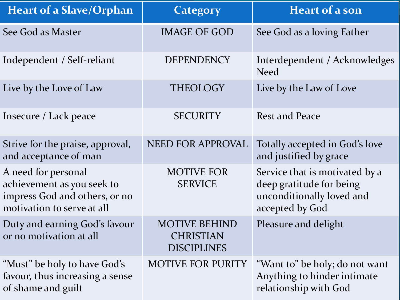| <b>Heart of a Slave/Orphan</b>                                                                                   | Category                                                | <b>Heart of a son</b>                                                                                      |
|------------------------------------------------------------------------------------------------------------------|---------------------------------------------------------|------------------------------------------------------------------------------------------------------------|
| See God as Master                                                                                                | <b>IMAGE OF GOD</b>                                     | See God as a loving Father                                                                                 |
| Independent / Self-reliant                                                                                       | <b>DEPENDENCY</b>                                       | Interdependent / Acknowledges<br><b>Need</b>                                                               |
| Live by the Love of Law                                                                                          | <b>THEOLOGY</b>                                         | Live by the Law of Love                                                                                    |
| Insecure / Lack peace                                                                                            | <b>SECURITY</b>                                         | <b>Rest and Peace</b>                                                                                      |
| Strive for the praise, approval,<br>and acceptance of man                                                        | NEED FOR APPROVAL                                       | Totally accepted in God's love<br>and justified by grace                                                   |
| A need for personal<br>achievement as you seek to<br>impress God and others, or no<br>motivation to serve at all | <b>MOTIVE FOR</b><br><b>SERVICE</b>                     | Service that is motivated by a<br>deep gratitude for being<br>unconditionally loved and<br>accepted by God |
| Duty and earning God's favour<br>or no motivation at all                                                         | <b>MOTIVE BEHIND</b><br><b>CHRISTIAN</b><br>DISCIPLINES | Pleasure and delight                                                                                       |
| "Must" be holy to have God's<br>favour, thus increasing a sense<br>of shame and guilt                            | <b>MOTIVE FOR PURITY</b>                                | "Want to" be holy; do not want<br>Anything to hinder intimate<br>relationship with God                     |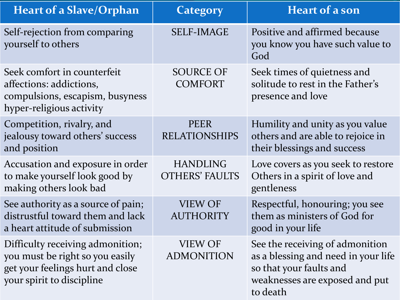| <b>Heart of a Slave/Orphan</b>                                                                                                       | Category                                 | <b>Heart of a son</b>                                                                                                                           |
|--------------------------------------------------------------------------------------------------------------------------------------|------------------------------------------|-------------------------------------------------------------------------------------------------------------------------------------------------|
| Self-rejection from comparing<br>yourself to others                                                                                  | <b>SELF-IMAGE</b>                        | Positive and affirmed because<br>you know you have such value to<br>God                                                                         |
| Seek comfort in counterfeit<br>affections: addictions,<br>compulsions, escapism, busyness<br>hyper-religious activity                | <b>SOURCE OF</b><br><b>COMFORT</b>       | Seek times of quietness and<br>solitude to rest in the Father's<br>presence and love                                                            |
| Competition, rivalry, and<br>jealousy toward others' success<br>and position                                                         | <b>PEER</b><br><b>RELATIONSHIPS</b>      | Humility and unity as you value<br>others and are able to rejoice in<br>their blessings and success                                             |
| Accusation and exposure in order<br>to make yourself look good by<br>making others look bad                                          | <b>HANDLING</b><br><b>OTHERS' FAULTS</b> | Love covers as you seek to restore<br>Others in a spirit of love and<br>gentleness                                                              |
| See authority as a source of pain;<br>distrustful toward them and lack<br>a heart attitude of submission                             | <b>VIEW OF</b><br><b>AUTHORITY</b>       | Respectful, honouring; you see<br>them as ministers of God for<br>good in your life                                                             |
| Difficulty receiving admonition;<br>you must be right so you easily<br>get your feelings hurt and close<br>your spirit to discipline | VIEW OF<br><b>ADMONITION</b>             | See the receiving of admonition<br>as a blessing and need in your life<br>so that your faults and<br>weaknesses are exposed and put<br>to death |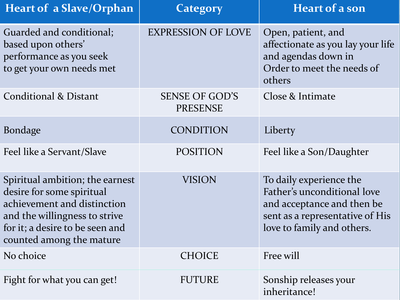| <b>Heart of a Slave/Orphan</b>                                                                                                                                                              | <b>Category</b>                          | <b>Heart of a son</b>                                                                                                                                 |
|---------------------------------------------------------------------------------------------------------------------------------------------------------------------------------------------|------------------------------------------|-------------------------------------------------------------------------------------------------------------------------------------------------------|
| Guarded and conditional;<br>based upon others'<br>performance as you seek<br>to get your own needs met                                                                                      | <b>EXPRESSION OF LOVE</b>                | Open, patient, and<br>affectionate as you lay your life<br>and agendas down in<br>Order to meet the needs of<br>others                                |
| Conditional & Distant                                                                                                                                                                       | <b>SENSE OF GOD'S</b><br><b>PRESENSE</b> | Close & Intimate                                                                                                                                      |
| <b>Bondage</b>                                                                                                                                                                              | CONDITION                                | Liberty                                                                                                                                               |
| Feel like a Servant/Slave                                                                                                                                                                   | <b>POSITION</b>                          | Feel like a Son/Daughter                                                                                                                              |
| Spiritual ambition; the earnest<br>desire for some spiritual<br>achievement and distinction<br>and the willingness to strive<br>for it; a desire to be seen and<br>counted among the mature | <b>VISION</b>                            | To daily experience the<br>Father's unconditional love<br>and acceptance and then be<br>sent as a representative of His<br>love to family and others. |
| No choice                                                                                                                                                                                   | <b>CHOICE</b>                            | Free will                                                                                                                                             |
| Fight for what you can get!                                                                                                                                                                 | <b>FUTURE</b>                            | Sonship releases your<br>inheritance!                                                                                                                 |